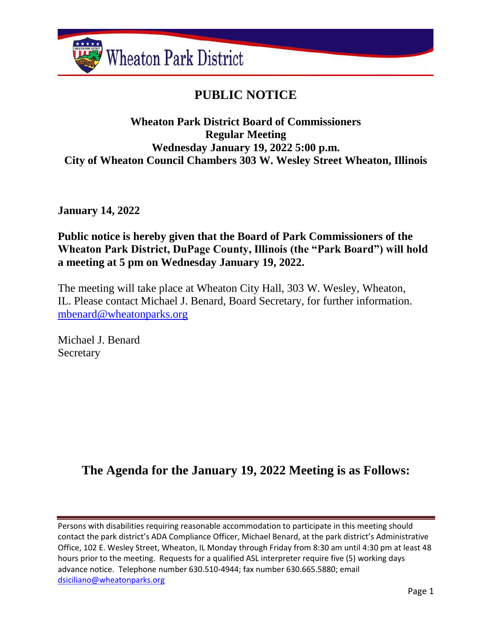

# **PUBLIC NOTICE**

## **Wheaton Park District Board of Commissioners Regular Meeting Wednesday January 19, 2022 5:00 p.m. City of Wheaton Council Chambers 303 W. Wesley Street Wheaton, Illinois**

**January 14, 2022**

## **Public notice is hereby given that the Board of Park Commissioners of the Wheaton Park District, DuPage County, Illinois (the "Park Board") will hold a meeting at 5 pm on Wednesday January 19, 2022.**

The meeting will take place at Wheaton City Hall, 303 W. Wesley, Wheaton, IL. Please contact Michael J. Benard, Board Secretary, for further information. [mbenard@wheatonparks.org](mailto:mbenard@wheatonparks.org)

Michael J. Benard Secretary

## **The Agenda for the January 19, 2022 Meeting is as Follows:**

Persons with disabilities requiring reasonable accommodation to participate in this meeting should contact the park district's ADA Compliance Officer, Michael Benard, at the park district's Administrative Office, 102 E. Wesley Street, Wheaton, IL Monday through Friday from 8:30 am until 4:30 pm at least 48 hours prior to the meeting. Requests for a qualified ASL interpreter require five (5) working days advance notice. Telephone number 630.510-4944; fax number 630.665.5880; email [dsiciliano@wheatonparks.org](mailto:dsiciliano@wheatonparks.org)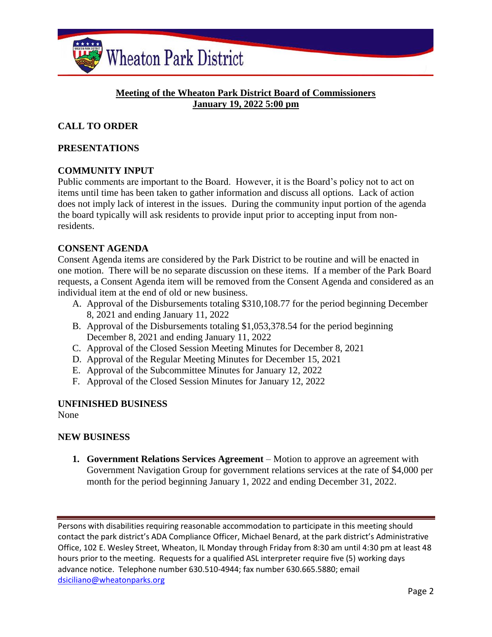

#### **Meeting of the Wheaton Park District Board of Commissioners January 19, 2022 5:00 pm**

### **CALL TO ORDER**

#### **PRESENTATIONS**

#### **COMMUNITY INPUT**

Public comments are important to the Board. However, it is the Board's policy not to act on items until time has been taken to gather information and discuss all options. Lack of action does not imply lack of interest in the issues. During the community input portion of the agenda the board typically will ask residents to provide input prior to accepting input from nonresidents.

#### **CONSENT AGENDA**

Consent Agenda items are considered by the Park District to be routine and will be enacted in one motion. There will be no separate discussion on these items. If a member of the Park Board requests, a Consent Agenda item will be removed from the Consent Agenda and considered as an individual item at the end of old or new business.

- A. Approval of the Disbursements totaling \$310,108.77 for the period beginning December 8, 2021 and ending January 11, 2022
- B. Approval of the Disbursements totaling \$1,053,378.54 for the period beginning December 8, 2021 and ending January 11, 2022
- C. Approval of the Closed Session Meeting Minutes for December 8, 2021
- D. Approval of the Regular Meeting Minutes for December 15, 2021
- E. Approval of the Subcommittee Minutes for January 12, 2022
- F. Approval of the Closed Session Minutes for January 12, 2022

#### **UNFINISHED BUSINESS**

None

#### **NEW BUSINESS**

**1. Government Relations Services Agreement** – Motion to approve an agreement with Government Navigation Group for government relations services at the rate of \$4,000 per month for the period beginning January 1, 2022 and ending December 31, 2022.

Persons with disabilities requiring reasonable accommodation to participate in this meeting should contact the park district's ADA Compliance Officer, Michael Benard, at the park district's Administrative Office, 102 E. Wesley Street, Wheaton, IL Monday through Friday from 8:30 am until 4:30 pm at least 48 hours prior to the meeting. Requests for a qualified ASL interpreter require five (5) working days advance notice. Telephone number 630.510-4944; fax number 630.665.5880; email [dsiciliano@wheatonparks.org](mailto:dsiciliano@wheatonparks.org)